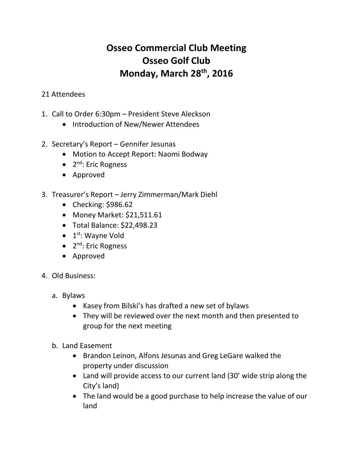## **Osseo Commercial Club Meeting Osseo Golf Club Monday, March 28th, 2016**

## 21 Attendees

- 1. Call to Order 6:30pm President Steve Aleckson
	- Introduction of New/Newer Attendees
- 2. Secretary's Report Gennifer Jesunas
	- Motion to Accept Report: Naomi Bodway
	- 2<sup>nd</sup>: Eric Rogness
	- Approved
- 3. Treasurer's Report Jerry Zimmerman/Mark Diehl
	- Checking: \$986.62
	- Money Market: \$21,511.61
	- Total Balance: \$22,498.23
	- $\bullet$  1<sup>st</sup>: Wayne Vold
	- 2<sup>nd</sup>: Eric Rogness
	- Approved
- 4. Old Business:
	- a. Bylaws
		- Kasey from Bilski's has drafted a new set of bylaws
		- They will be reviewed over the next month and then presented to group for the next meeting
	- b. Land Easement
		- Brandon Leinon, Alfons Jesunas and Greg LeGare walked the property under discussion
		- Land will provide access to our current land (30' wide strip along the City's land)
		- The land would be a good purchase to help increase the value of our land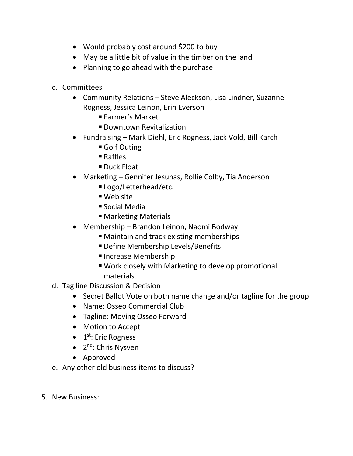- Would probably cost around \$200 to buy
- May be a little bit of value in the timber on the land
- Planning to go ahead with the purchase
- c. Committees
	- Community Relations Steve Aleckson, Lisa Lindner, Suzanne Rogness, Jessica Leinon, Erin Everson
		- Farmer's Market
		- **Downtown Revitalization**
	- Fundraising Mark Diehl, Eric Rogness, Jack Vold, Bill Karch
		- Golf Outing
		- Raffles
		- Duck Float
	- Marketing Gennifer Jesunas, Rollie Colby, Tia Anderson
		- Logo/Letterhead/etc.
		- Web site
		- Social Media
		- Marketing Materials
	- Membership Brandon Leinon, Naomi Bodway
		- Maintain and track existing memberships
		- Define Membership Levels/Benefits
		- **Increase Membership**
		- Work closely with Marketing to develop promotional materials.
- d. Tag line Discussion & Decision
	- Secret Ballot Vote on both name change and/or tagline for the group
	- Name: Osseo Commercial Club
	- Tagline: Moving Osseo Forward
	- Motion to Accept
	- 1<sup>st</sup>: Eric Rogness
	- 2<sup>nd</sup>: Chris Nysven
	- Approved
- e. Any other old business items to discuss?
- 5. New Business: